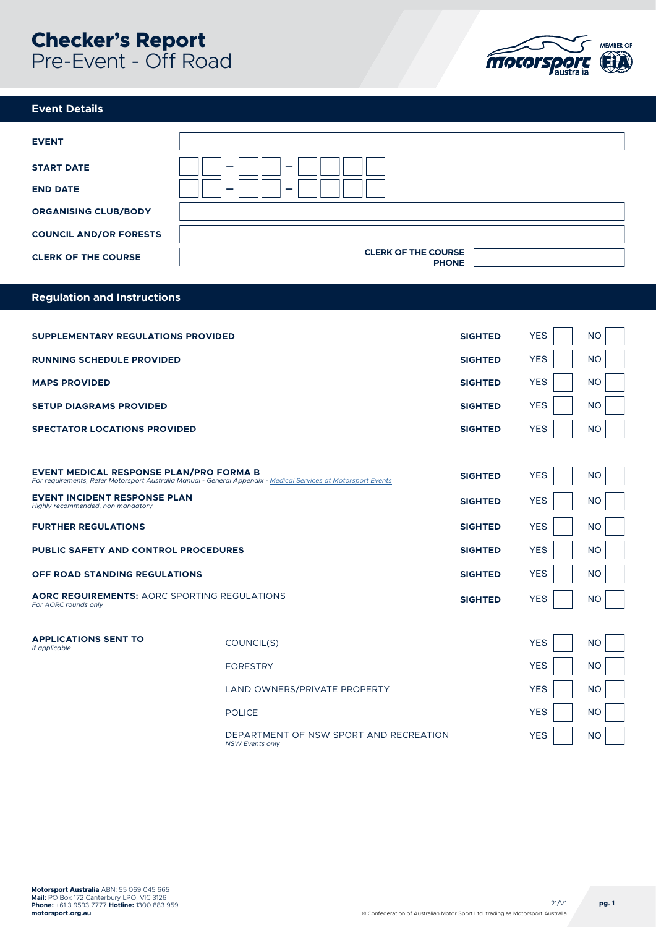# **Checker's Report**  Pre-Event - Off Road



#### **Event Details**

| <b>EVENT</b>                  |                                            |
|-------------------------------|--------------------------------------------|
| <b>START DATE</b>             | -<br>-                                     |
| <b>END DATE</b>               | $\overline{\phantom{0}}$<br>_              |
| <b>ORGANISING CLUB/BODY</b>   |                                            |
| <b>COUNCIL AND/OR FORESTS</b> |                                            |
| <b>CLERK OF THE COURSE</b>    | <b>CLERK OF THE COURSE</b><br><b>PHONE</b> |

#### **Regulation and Instructions**

| SUPPLEMENTARY REGULATIONS PROVIDED                                                                                                                               |                                                                  | <b>SIGHTED</b> | <b>YES</b> | <b>NO</b> |
|------------------------------------------------------------------------------------------------------------------------------------------------------------------|------------------------------------------------------------------|----------------|------------|-----------|
| <b>RUNNING SCHEDULE PROVIDED</b>                                                                                                                                 |                                                                  | <b>SIGHTED</b> | <b>YES</b> | <b>NO</b> |
| <b>MAPS PROVIDED</b>                                                                                                                                             |                                                                  | <b>SIGHTED</b> | <b>YES</b> | <b>NO</b> |
| <b>SETUP DIAGRAMS PROVIDED</b>                                                                                                                                   |                                                                  | <b>SIGHTED</b> | <b>YES</b> | <b>NO</b> |
| <b>SPECTATOR LOCATIONS PROVIDED</b>                                                                                                                              |                                                                  | <b>SIGHTED</b> | <b>YES</b> | <b>NO</b> |
|                                                                                                                                                                  |                                                                  |                |            |           |
| <b>EVENT MEDICAL RESPONSE PLAN/PRO FORMA B</b><br>For requirements, Refer Motorsport Australia Manual - General Appendix - Medical Services at Motorsport Events |                                                                  | <b>SIGHTED</b> | <b>YES</b> | <b>NO</b> |
| <b>EVENT INCIDENT RESPONSE PLAN</b><br>Highly recommended, non mandatory                                                                                         |                                                                  | <b>SIGHTED</b> | <b>YES</b> | <b>NO</b> |
| <b>FURTHER REGULATIONS</b>                                                                                                                                       |                                                                  | <b>SIGHTED</b> | <b>YES</b> | <b>NO</b> |
| <b>PUBLIC SAFETY AND CONTROL PROCEDURES</b>                                                                                                                      |                                                                  | <b>SIGHTED</b> | <b>YES</b> | <b>NO</b> |
| <b>OFF ROAD STANDING REGULATIONS</b>                                                                                                                             |                                                                  | <b>SIGHTED</b> | <b>YES</b> | <b>NO</b> |
| <b>AORC REQUIREMENTS: AORC SPORTING REGULATIONS</b><br>For AORC rounds only                                                                                      |                                                                  |                | <b>YES</b> | <b>NO</b> |
|                                                                                                                                                                  |                                                                  |                |            |           |
| <b>APPLICATIONS SENT TO</b><br>If applicable                                                                                                                     | COUNCIL(S)                                                       |                | <b>YES</b> | <b>NO</b> |
|                                                                                                                                                                  | <b>FORESTRY</b>                                                  |                | <b>YES</b> | <b>NO</b> |
|                                                                                                                                                                  | LAND OWNERS/PRIVATE PROPERTY                                     |                | <b>YES</b> | <b>NO</b> |
|                                                                                                                                                                  | <b>POLICE</b>                                                    |                | <b>YES</b> | <b>NO</b> |
|                                                                                                                                                                  | DEPARTMENT OF NSW SPORT AND RECREATION<br><b>NSW Events only</b> |                | <b>YES</b> | <b>NO</b> |